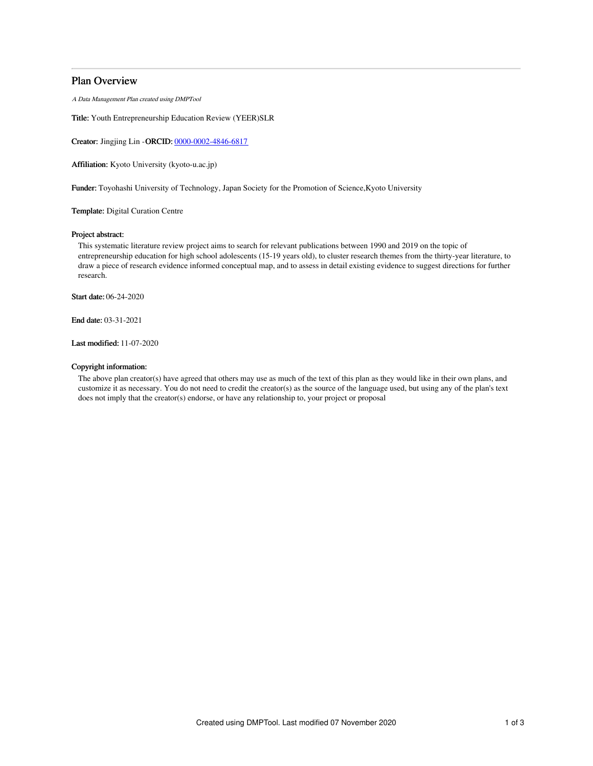# Plan Overview

A Data Management Plan created using DMPTool

Title: Youth Entrepreneurship Education Review (YEER)SLR

Creator: Jingjing Lin -ORCID: [0000-0002-4846-6817](https://orcid.org/0000-0002-4846-6817)

Affiliation: Kyoto University (kyoto-u.ac.jp)

Funder: Toyohashi University of Technology, Japan Society for the Promotion of Science,Kyoto University

Template: Digital Curation Centre

# Project abstract:

This systematic literature review project aims to search for relevant publications between 1990 and 2019 on the topic of entrepreneurship education for high school adolescents (15-19 years old), to cluster research themes from the thirty-year literature, to draw a piece of research evidence informed conceptual map, and to assess in detail existing evidence to suggest directions for further research.

Start date: 06-24-2020

End date: 03-31-2021

Last modified: 11-07-2020

# Copyright information:

The above plan creator(s) have agreed that others may use as much of the text of this plan as they would like in their own plans, and customize it as necessary. You do not need to credit the creator(s) as the source of the language used, but using any of the plan's text does not imply that the creator(s) endorse, or have any relationship to, your project or proposal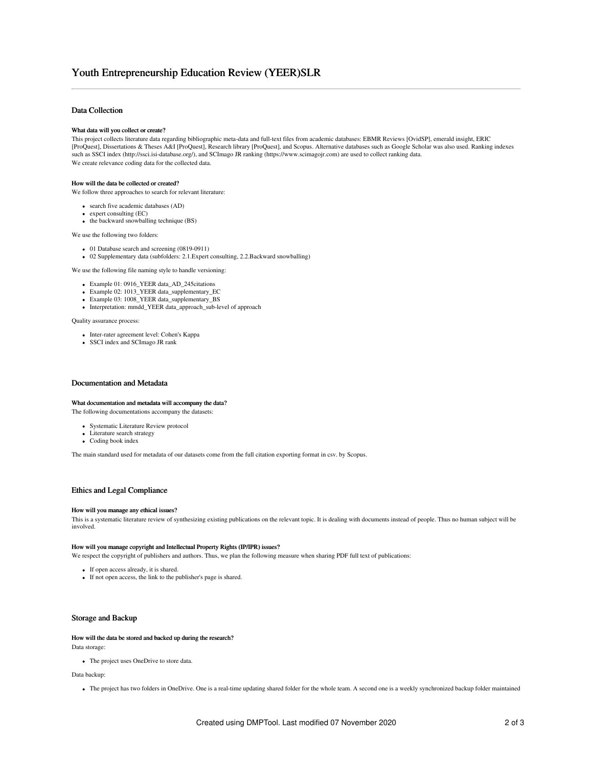# Data Collection

#### What data will you collect or create?

This project collects literature data regarding bibliographic meta-data and full-text files from academic databases: EBMR Reviews [OvidSP], emerald insight, ERIC [ProQuest], Dissertations & Theses A&I [ProQuest], Research library [ProQuest], and Scopus. Alternative databases such as Google Scholar was also used. Ranking indexes such as SSCI index (http://ssci.isi-database.org/), and SCImago JR ranking (https://www.scimagojr.com) are used to collect ranking data. We create relevance coding data for the collected data.

#### How will the data be collected or created?

We follow three approaches to search for relevant literature:

- search five academic databases (AD)
- expert consulting (EC)
- the backward snowballing technique (BS)

We use the following two folders:

- 
- 01 Database search and screening (0819-0911) 02 Supplementary data (subfolders: 2.1.Expert consulting, 2.2.Backward snowballing)

We use the following file naming style to handle versioning:

- 
- Example 01: 0916\_YEER data\_AD\_245citations Example 02: 1013\_YEER data\_supplementary\_EC
- Example 03: 1008\_YEER data\_supplementary\_BS
- Interpretation: mmdd\_YEER data\_approach\_sub-level of approach

Quality assurance process:

- Inter-rater agreement level: Cohen's Kappa
- SSCI index and SCImago JR rank

## Documentation and Metadata

### What documentation and metadata will accompany the data? The following documentations accompany the datasets:

- 
- Systematic Literature Review protocol • Literature search strategy
- Coding book index

The main standard used for metadata of our datasets come from the full citation exporting format in csv. by Scopus.

# Ethics and Legal Compliance

#### How will you manage any ethical issues?

This is a systematic literature review of synthesizing existing publications on the relevant topic. It is dealing with documents instead of people. Thus no human subject will be involved.

### How will you manage copyright and Intellectual Property Rights (IP/IPR) issues?

We respect the copyright of publishers and authors. Thus, we plan the following measure when sharing PDF full text of publications:

- If open access already, it is shared.
- If not open access, the link to the publisher's page is shared.

# Storage and Backup

# How will the data be stored and backed up during the research?

Data storage:

The project uses OneDrive to store data.

Data backup:

The project has two folders in OneDrive. One is a real-time updating shared folder for the whole team. A second one is a weekly synchronized backup folder maintained